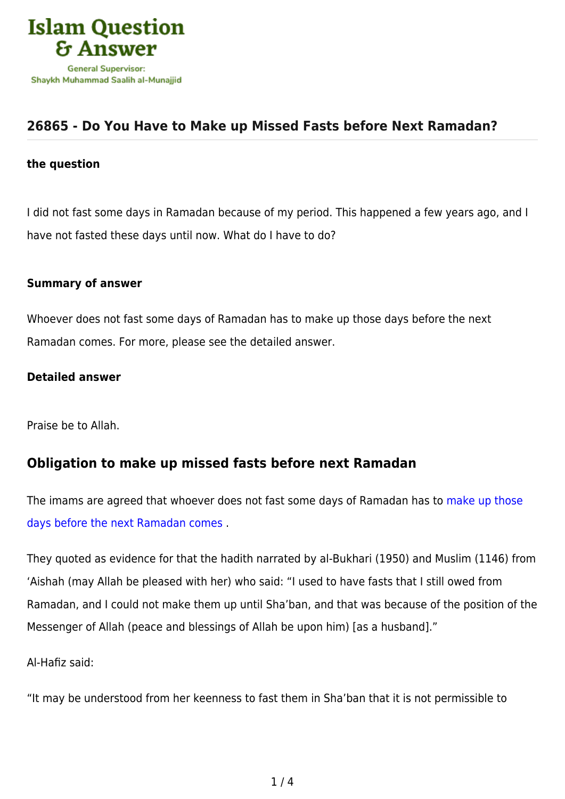

# **[26865 - Do You Have to Make up Missed Fasts before Next Ramadan?](https://islamqa.com/en/answers/26865/do-you-have-to-make-up-missed-fasts-before-next-ramadan)**

#### **the question**

I did not fast some days in Ramadan because of my period. This happened a few years ago, and I have not fasted these days until now. What do I have to do?

### **Summary of answer**

Whoever does not fast some days of Ramadan has to make up those days before the next Ramadan comes. For more, please see the detailed answer.

### **Detailed answer**

Praise be to Allah.

## **Obligation to make up missed fasts before next Ramadan**

The imams are agreed that whoever does not fast some days of Ramadan has to [make up those](https://islamqa.com/en/answers/95736) [days before the next Ramadan comes](https://islamqa.com/en/answers/95736) .

They quoted as evidence for that the hadith narrated by al-Bukhari (1950) and Muslim (1146) from 'Aishah (may Allah be pleased with her) who said: "I used to have fasts that I still owed from Ramadan, and I could not make them up until Sha'ban, and that was because of the position of the Messenger of Allah (peace and blessings of Allah be upon him) [as a husband]."

Al-Hafiz said:

"It may be understood from her keenness to fast them in Sha'ban that it is not permissible to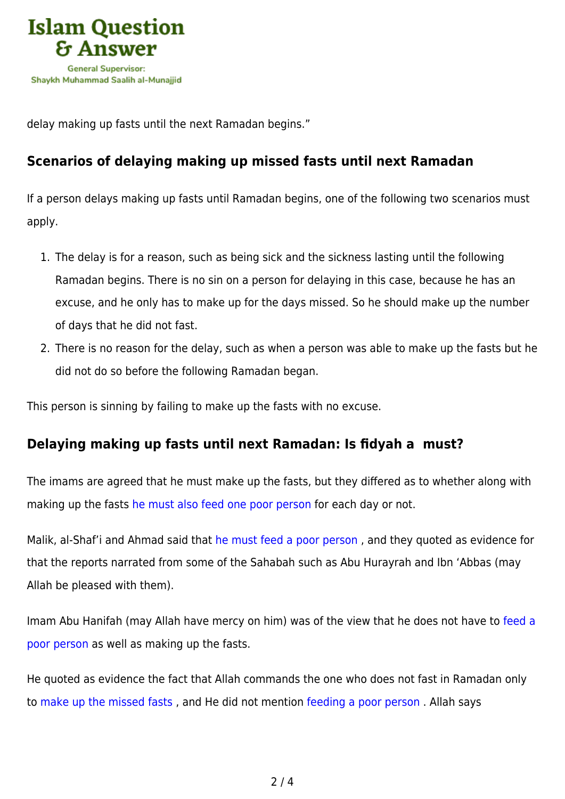

delay making up fasts until the next Ramadan begins."

# **Scenarios of delaying making up missed fasts until next Ramadan**

If a person delays making up fasts until Ramadan begins, one of the following two scenarios must apply.

- 1. The delay is for a reason, such as being sick and the sickness lasting until the following Ramadan begins. There is no sin on a person for delaying in this case, because he has an excuse, and he only has to make up for the days missed. So he should make up the number of days that he did not fast.
- 2. There is no reason for the delay, such as when a person was able to make up the fasts but he did not do so before the following Ramadan began.

This person is sinning by failing to make up the fasts with no excuse.

## **Delaying making up fasts until next Ramadan: Is fidyah a must?**

The imams are agreed that he must make up the fasts, but they differed as to whether along with making up the fasts [he must also feed one poor person](https://islamqa.com/en/answers/95736) for each day or not.

Malik, al-Shaf'i and Ahmad said that [he must feed a poor person](https://islamqa.com/en/answers/49944) , and they quoted as evidence for that the reports narrated from some of the Sahabah such as Abu Hurayrah and Ibn 'Abbas (may Allah be pleased with them).

Imam Abu Hanifah (may Allah have mercy on him) was of the view that he does not have to [feed a](https://islamqa.com/en/answers/43268) [poor person](https://islamqa.com/en/answers/43268) as well as making up the fasts.

He quoted as evidence the fact that Allah commands the one who does not fast in Ramadan only to [make up the missed fasts](https://islamqa.com/en/answers/112102) , and He did not mention [feeding a poor person](https://islamqa.com/en/answers/39234) . Allah says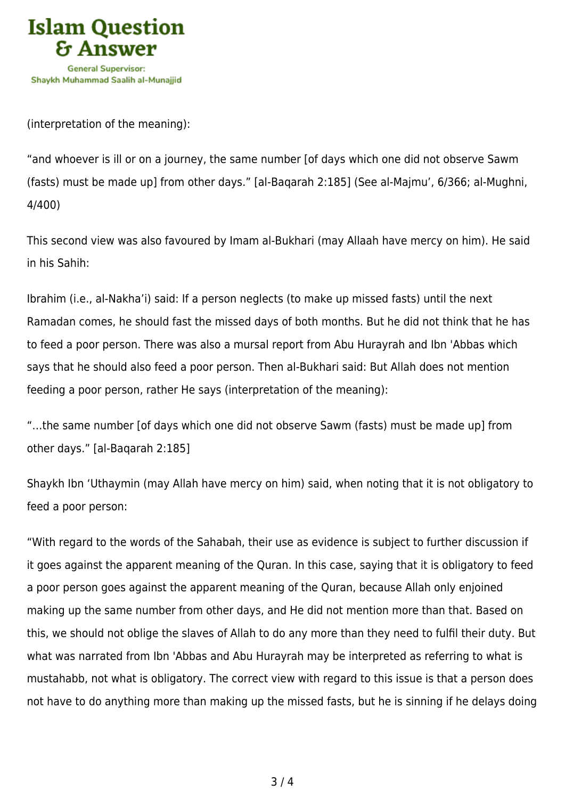

(interpretation of the meaning):

"and whoever is ill or on a journey, the same number [of days which one did not observe Sawm (fasts) must be made up] from other days." [al-Baqarah 2:185] (See al-Majmu', 6/366; al-Mughni, 4/400)

This second view was also favoured by Imam al-Bukhari (may Allaah have mercy on him). He said in his Sahih:

Ibrahim (i.e., al-Nakha'i) said: If a person neglects (to make up missed fasts) until the next Ramadan comes, he should fast the missed days of both months. But he did not think that he has to feed a poor person. There was also a mursal report from Abu Hurayrah and Ibn 'Abbas which says that he should also feed a poor person. Then al-Bukhari said: But Allah does not mention feeding a poor person, rather He says (interpretation of the meaning):

"…the same number [of days which one did not observe Sawm (fasts) must be made up] from other days." [al-Baqarah 2:185]

Shaykh Ibn 'Uthaymin (may Allah have mercy on him) said, when noting that it is not obligatory to feed a poor person:

"With regard to the words of the Sahabah, their use as evidence is subject to further discussion if it goes against the apparent meaning of the Quran. In this case, saying that it is obligatory to feed a poor person goes against the apparent meaning of the Quran, because Allah only enjoined making up the same number from other days, and He did not mention more than that. Based on this, we should not oblige the slaves of Allah to do any more than they need to fulfil their duty. But what was narrated from Ibn 'Abbas and Abu Hurayrah may be interpreted as referring to what is mustahabb, not what is obligatory. The correct view with regard to this issue is that a person does not have to do anything more than making up the missed fasts, but he is sinning if he delays doing